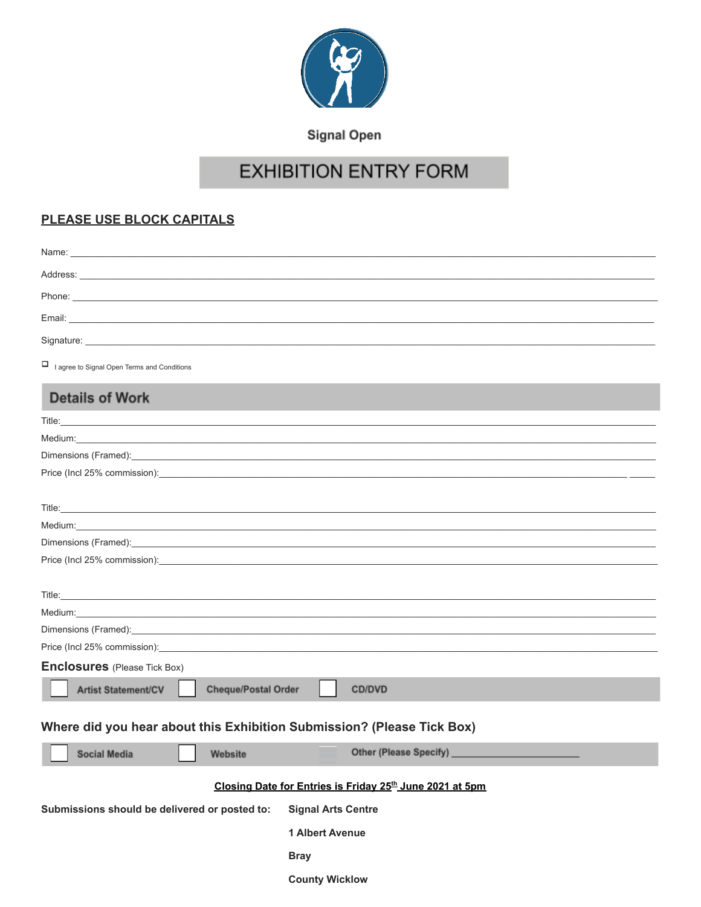

**Signal Open** 

# **EXHIBITION ENTRY FORM**

### PLEASE USE BLOCK CAPITALS

| I agree to Signal Open Terms and Conditions                                                                                                                                                                                                                                                                                                                                                                                                                      |
|------------------------------------------------------------------------------------------------------------------------------------------------------------------------------------------------------------------------------------------------------------------------------------------------------------------------------------------------------------------------------------------------------------------------------------------------------------------|
| <b>Details of Work</b>                                                                                                                                                                                                                                                                                                                                                                                                                                           |
|                                                                                                                                                                                                                                                                                                                                                                                                                                                                  |
|                                                                                                                                                                                                                                                                                                                                                                                                                                                                  |
| Dimensions (Framed): experience and the contract of the contract of the contract of the contract of the contract of the contract of the contract of the contract of the contract of the contract of the contract of the contra                                                                                                                                                                                                                                   |
|                                                                                                                                                                                                                                                                                                                                                                                                                                                                  |
|                                                                                                                                                                                                                                                                                                                                                                                                                                                                  |
| Title: <u>www.communications.com and the communications of the communications</u>                                                                                                                                                                                                                                                                                                                                                                                |
|                                                                                                                                                                                                                                                                                                                                                                                                                                                                  |
| Dimensions (Framed): experience and a series of the contract of the contract of the contract of the contract of the contract of the contract of the contract of the contract of the contract of the contract of the contract o<br>Price (Incl 25% commission): example and a series of the series of the series of the series of the series of the series of the series of the series of the series of the series of the series of the series of the series of t |
|                                                                                                                                                                                                                                                                                                                                                                                                                                                                  |
|                                                                                                                                                                                                                                                                                                                                                                                                                                                                  |
|                                                                                                                                                                                                                                                                                                                                                                                                                                                                  |
| Dimensions (Framed): Sales Contract Contract Contract Contract Contract Contract Contract Contract Contract Contract Contract Contract Contract Contract Contract Contract Contract Contract Contract Contract Contract Contra                                                                                                                                                                                                                                   |
|                                                                                                                                                                                                                                                                                                                                                                                                                                                                  |
| <b>Enclosures</b> (Please Tick Box)                                                                                                                                                                                                                                                                                                                                                                                                                              |
| <b>Cheque/Postal Order</b><br><b>Artist Statement/CV</b><br><b>CD/DVD</b>                                                                                                                                                                                                                                                                                                                                                                                        |
| Where did you hear about this Exhibition Submission? (Please Tick Box)                                                                                                                                                                                                                                                                                                                                                                                           |
| $\Box$<br>Social Media<br>Other (Please Specify)<br>Website                                                                                                                                                                                                                                                                                                                                                                                                      |
| Closing Date for Entries is Friday 25 <sup>th</sup> June 2021 at 5pm                                                                                                                                                                                                                                                                                                                                                                                             |
|                                                                                                                                                                                                                                                                                                                                                                                                                                                                  |
| Submissions should be delivered or posted to:<br><b>Signal Arts Centre</b>                                                                                                                                                                                                                                                                                                                                                                                       |
| 1 Albert Avenue                                                                                                                                                                                                                                                                                                                                                                                                                                                  |

**Bray** 

**County Wicklow**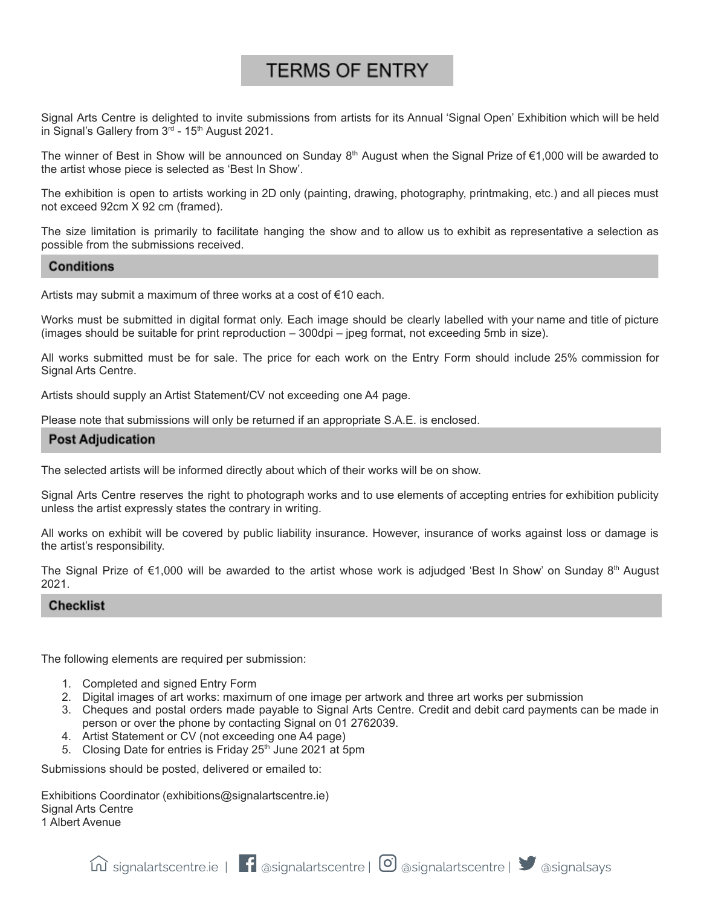## **TERMS OF ENTRY**

Signal Arts Centre is delighted to invite submissions from artists for its Annual 'Signal Open' Exhibition which will be held in Signal's Gallery from 3<sup>rd</sup> - 15<sup>th</sup> August 2021.

The winner of Best in Show will be announced on Sunday 8<sup>th</sup> August when the Signal Prize of €1,000 will be awarded to the artist whose piece is selected as 'Best In Show'.

The exhibition is open to artists working in 2D only (painting, drawing, photography, printmaking, etc.) and all pieces must not exceed 92cm X 92 cm (framed).

The size limitation is primarily to facilitate hanging the show and to allow us to exhibit as representative a selection as possible from the submissions received.

#### **Conditions**

Artists may submit a maximum of three works at a cost of €10 each.

Works must be submitted in digital format only. Each image should be clearly labelled with your name and title of picture (images should be suitable for print reproduction – 300dpi – jpeg format, not exceeding 5mb in size).

All works submitted must be for sale. The price for each work on the Entry Form should include 25% commission for Signal Arts Centre.

Artists should supply an Artist Statement/CV not exceeding one A4 page.

Please note that submissions will only be returned if an appropriate S.A.E. is enclosed.

#### **Post Adjudication**

The selected artists will be informed directly about which of their works will be on show.

Signal Arts Centre reserves the right to photograph works and to use elements of accepting entries for exhibition publicity unless the artist expressly states the contrary in writing.

All works on exhibit will be covered by public liability insurance. However, insurance of works against loss or damage is the artist's responsibility.

The Signal Prize of €1,000 will be awarded to the artist whose work is adjudged 'Best In Show' on Sunday 8<sup>th</sup> August 2021.

#### **Checklist**

The following elements are required per submission:

- 1. Completed and signed Entry Form
- 2. Digital images of art works: maximum of one image per artwork and three art works per submission
- 3. Cheques and postal orders made payable to Signal Arts Centre. Credit and debit card payments can be made in person or over the phone by contacting Signal on 01 2762039.
- 4. Artist Statement or CV (not exceeding one A4 page)
- 5. Closing Date for entries is Friday 25<sup>th</sup> June 2021 at 5pm

Submissions should be posted, delivered or emailed to:

Exhibitions Coordinator (exhibitions@signalartscentre.ie) Signal Arts Centre 1 Albert Avenue